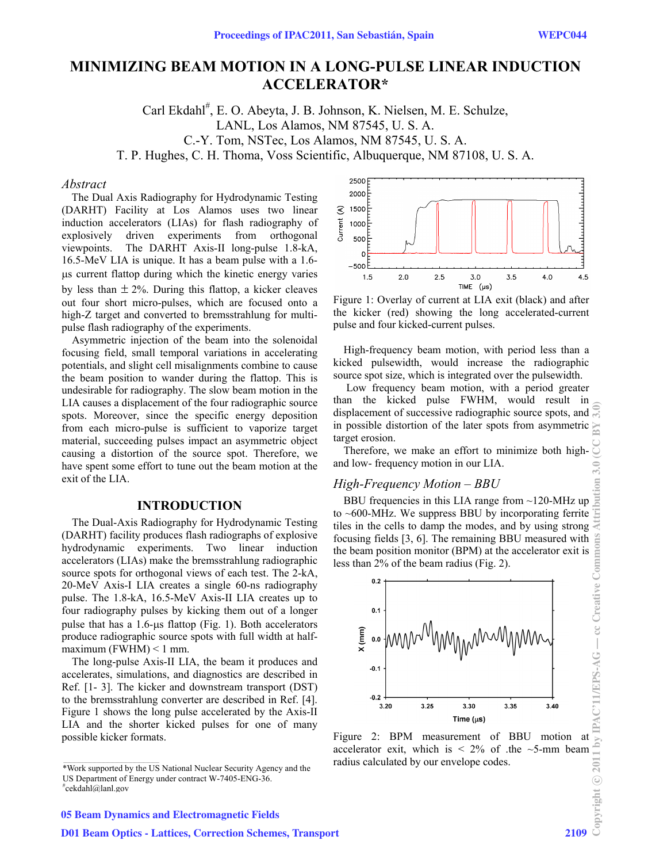# **MINIMIZING BEAM MOTION IN A LONG-PULSE LINEAR INDUCTION ACCELERATOR\***

Carl Ekdahl<sup>#</sup>, E. O. Abeyta, J. B. Johnson, K. Nielsen, M. E. Schulze, LANL, Los Alamos, NM 87545, U. S. A. C.-Y. Tom, NSTec, Los Alamos, NM 87545, U. S. A. T. P. Hughes, C. H. Thoma, Voss Scientific, Albuquerque, NM 87108, U. S. A.

#### *Abstract*

The Dual Axis Radiography for Hydrodynamic Testing (DARHT) Facility at Los Alamos uses two linear induction accelerators (LIAs) for flash radiography of explosively driven experiments from orthogonal viewpoints. The DARHT Axis-II long-pulse 1.8-kA, 16.5-MeV LIA is unique. It has a beam pulse with a 1.6 s current flattop during which the kinetic energy varies by less than  $\pm 2\%$ . During this flattop, a kicker cleaves out four short micro-pulses, which are focused onto a high-Z target and converted to bremsstrahlung for multipulse flash radiography of the experiments.

Asymmetric injection of the beam into the solenoidal focusing field, small temporal variations in accelerating potentials, and slight cell misalignments combine to cause the beam position to wander during the flattop. This is undesirable for radiography. The slow beam motion in the LIA causes a displacement of the four radiographic source spots. Moreover, since the specific energy deposition from each micro-pulse is sufficient to vaporize target material, succeeding pulses impact an asymmetric object causing a distortion of the source spot. Therefore, we have spent some effort to tune out the beam motion at the exit of the LIA.

### **INTRODUCTION**

The Dual-Axis Radiography for Hydrodynamic Testing (DARHT) facility produces flash radiographs of explosive hydrodynamic experiments. Two linear induction accelerators (LIAs) make the bremsstrahlung radiographic source spots for orthogonal views of each test. The 2-kA, 20-MeV Axis-I LIA creates a single 60-ns radiography pulse. The 1.8-kA, 16.5-MeV Axis-II LIA creates up to four radiography pulses by kicking them out of a longer pulse that has a  $1.6$ -us flattop (Fig. 1). Both accelerators produce radiographic source spots with full width at halfmaximum (FWHM)  $< 1$  mm.

The long-pulse Axis-II LIA, the beam it produces and accelerates, simulations, and diagnostics are described in Ref. [1- 3]. The kicker and downstream transport (DST) to the bremsstrahlung converter are described in Ref. [4]. Figure 1 shows the long pulse accelerated by the Axis-II LIA and the shorter kicked pulses for one of many possible kicker formats.



Figure 1: Overlay of current at LIA exit (black) and after the kicker (red) showing the long accelerated-current pulse and four kicked-current pulses.

High-frequency beam motion, with period less than a kicked pulsewidth, would increase the radiographic source spot size, which is integrated over the pulsewidth.

 Low frequency beam motion, with a period greater than the kicked pulse FWHM, would result in displacement of successive radiographic source spots, and  $\mathbb{R}$ in possible distortion of the later spots from asymmetric target erosion. Copyright © 2011 by IPAC'11/EPS-AG — cc Creative Commons Attribution 3.0 (CC BY 3.0)

Therefore, we make an effort to minimize both highand low- frequency motion in our LIA.

#### *High-Frequency Motion – BBU*

igh-Frequency Motion – BBU<br>BBU frequencies in this LIA range from ~120-MHz up to ~600-MHz. We suppress BBU by incorporating ferrite tiles in the cells to damp the modes, and by using strong focusing fields [3, 6]. The remaining BBU measured with the beam position monitor (BPM) at the accelerator exit is less than 2% of the beam radius (Fig. 2).



accelerator exit, which is  $\leq 2\%$  of the  $\sim$ 5-mm beam radius calculated by our envelope codes.

<sup>\*</sup>Work supported by the US National Nuclear Security Agency and the US Department of Energy under contract W-7405-ENG-36. cekdahl@lanl.gov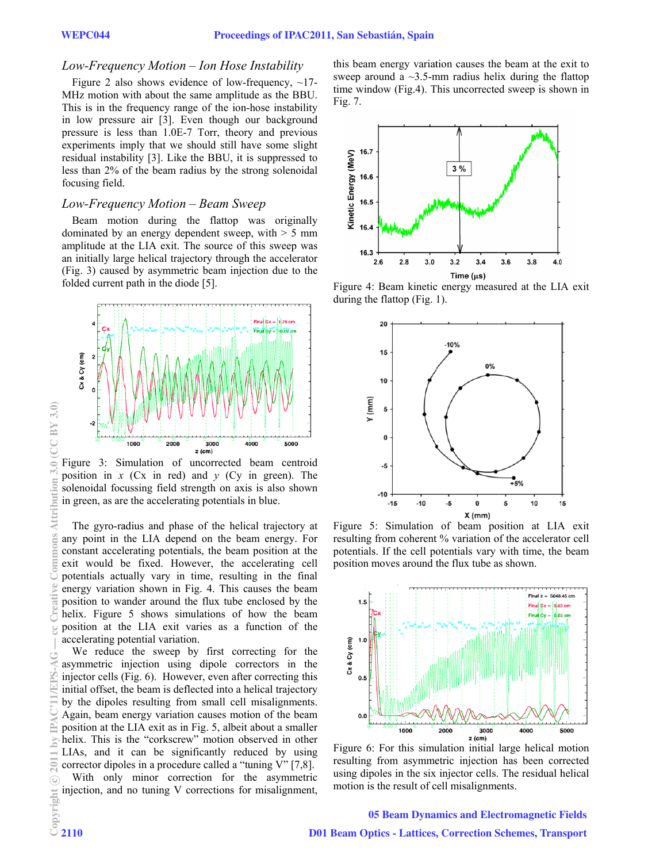# *Low-Freque ency Motion – Ion Hose Instability*

Figure 2 also shows evidence of low-frequency,  $\sim$ 17-MHz motion with about the same amplitude as the BBU. This is in the frequency range of the ion-hose instability in low pressure air [3]. Even though our background pressure is less than 1.0E-7 Torr, theory and previous experiments imply that we should still have some slight residual instability [3]. Like the BBU, it is suppressed to less than 2% of the beam radius by the strong solenoidal focusing field. .

# Low-Frequency Motion – Beam Sweep

Beam motion during the flattop was originally dominated by an energy dependent sweep, with  $> 5$  mm dominated by an energy dependent sweep, with > 5 mm<br>amplitude at the LIA exit. The source of this sweep was an initially large helical trajectory through the accelerator (Fig. 3) caused by asymmetric beam injection due to the folded current path in the diode  $[5]$ .



Figure 3: Simulation of uncorrected beam centroid position in  $x$  (Cx in red) and  $y$  (Cy in green). The solenoidal focussing field strength on axis is also shown in green, as are the accelerating potentials in blue.

The gyro-radius and phase of the helical trajectory at any point in the LIA depend on the beam energy. For constant accelerating potentials, the beam position at the exit would be fixed. However, the accelerating cell potentials actually vary in time, resulting in the final energy variation shown in Fig. 4. This causes the beam energy variation shown in Fig. 4. This causes the beam position to wander around the flux tube enclosed by the helix. Figure 5 shows simulations of how the beam<br>position at the LIA exit varies as a function of the position at the LIA exit varies as a function of the accelerating potential variation.

We reduce the sweep by first correcting for the asymmetric injection using dipole correctors in the injector cells (Fig. 6). However, even after correcting this initial offset, the beam is deflected into a helical trajectory by the dipoles resulting from small cell misalignments. Again, beam energy variation causes motion of the beam Again, beam energy variation causes motion of the beam position at the LIA exit as in Fig. 5, albeit about a smaller helix. This is the "corkscrew" motion observed in other LIAs, and it can be significantly reduced by using corrector dipoles in a procedure called a "tuning  $V$ " [7,8]. With only minor correction for the asymmetric injection, and no tuning V corrections for misalignment,

this beam energy variation causes the beam at the exit to sweep around a  $\sim$ 3.5-mm radius helix during the flattop time window (Fig.4). This uncorrected sweep is shown in Fig. 7.



Figure 4: Beam kinetic energy measured at the LIA exit during the e flattop (Fig. 1).



Figure 5: Simulation of beam position at LIA exit resulting from coherent % variation of the accelerator cell potentials. If the cell potentials vary with time, the beam position moves around the flux tube as shown.



Figure 6: For this simulation initial large helical motion resulting from asymmetric injection has been corrected using dip poles in the six injector cells. The residual h helical motion is the result of cell misalignments.

c○

 $CC$ BY 3.0

Attribution

ommons